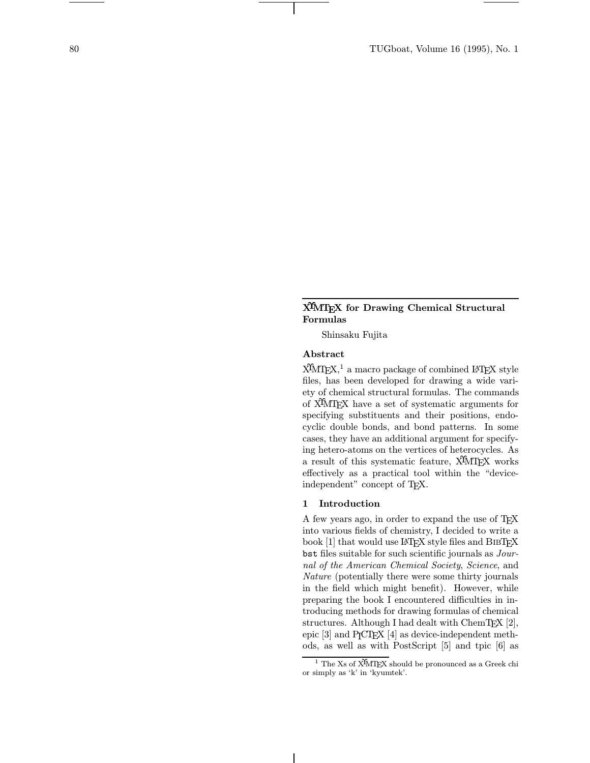# XΥMTEX for Drawing Chemical Structural Formulas

Shinsaku Fujita

# Abstract

 $X^{\text{IM}}T$ <sub>F</sub>X,<sup>1</sup> a macro package of combined L<sup>AT</sup>F<sub>F</sub>X style files, has been developed for drawing a wide variety of chemical structural formulas. The commands of XΥMTEX have a set of systematic arguments for specifying substituents and their positions, endocyclic double bonds, and bond patterns. In some cases, they have an additional argument for specifying hetero-atoms on the vertices of heterocycles. As a result of this systematic feature, X<sup>I</sup>MT<sub>E</sub>X works effectively as a practical tool within the "deviceindependent" concept of TEX.

#### 1 Introduction

A few years ago, in order to expand the use of TEX into various fields of chemistry, I decided to write a book [1] that would use LAT<sub>EX</sub> style files and BIBT<sub>EX</sub> bst files suitable for such scientific journals as Journal of the American Chemical Society, Science, and Nature (potentially there were some thirty journals in the field which might benefit). However, while preparing the book I encountered difficulties in introducing methods for drawing formulas of chemical structures. Although I had dealt with  $ChemTr X [2]$ , epic  $[3]$  and P<sub>I</sub>CT<sub>E</sub>X  $[4]$  as device-independent methods, as well as with PostScript [5] and tpic [6] as

<sup>&</sup>lt;sup>1</sup> The Xs of  $\widehat{X^{I}MTEX}$  should be pronounced as a Greek chi or simply as 'k' in 'kyumtek'.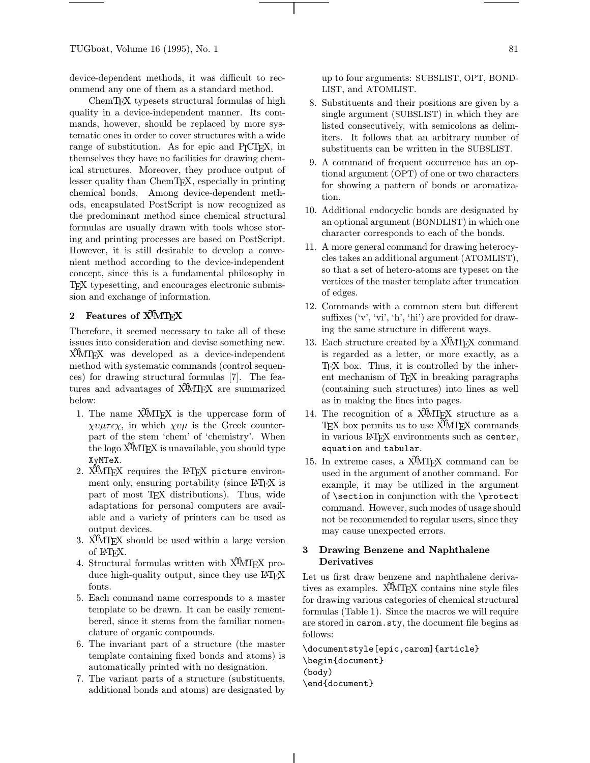device-dependent methods, it was difficult to recommend any one of them as a standard method.

ChemTEX typesets structural formulas of high quality in a device-independent manner. Its commands, however, should be replaced by more systematic ones in order to cover structures with a wide range of substitution. As for epic and P<sub>I</sub>CI<sub>F</sub>X, in themselves they have no facilities for drawing chemical structures. Moreover, they produce output of lesser quality than ChemTEX, especially in printing chemical bonds. Among device-dependent methods, encapsulated PostScript is now recognized as the predominant method since chemical structural formulas are usually drawn with tools whose storing and printing processes are based on PostScript. However, it is still desirable to develop a convenient method according to the device-independent concept, since this is a fundamental philosophy in TEX typesetting, and encourages electronic submission and exchange of information.

# 2 Features of X<sup>I</sup>MT<sub>E</sub>X

Therefore, it seemed necessary to take all of these issues into consideration and devise something new. XΥMTEX was developed as a device-independent method with systematic commands (control sequences) for drawing structural formulas [7]. The features and advantages of X<sup>T</sup>MT<sub>E</sub>X are summarized below:

- 1. The name X<sup>I</sup>MT<sub>E</sub>X is the uppercase form of  $\chi \nu \mu \tau \epsilon \chi$ , in which  $\chi \nu \mu$  is the Greek counterpart of the stem 'chem' of 'chemistry'. When the logo XΥMTEX is unavailable, you should type XyMTeX.
- 2. XIMTEX requires the LATEX picture environment only, ensuring portability (since LAT<sub>EX</sub> is part of most TEX distributions). Thus, wide adaptations for personal computers are available and a variety of printers can be used as output devices.
- 3. X<sup>I</sup>MT<sub>E</sub>X should be used within a large version of LATEX.
- 4. Structural formulas written with X<sup>1</sup>MT<sub>F</sub>X produce high-quality output, since they use LAT<sub>EX</sub> fonts.
- 5. Each command name corresponds to a master template to be drawn. It can be easily remembered, since it stems from the familiar nomenclature of organic compounds.
- 6. The invariant part of a structure (the master template containing fixed bonds and atoms) is automatically printed with no designation.
- 7. The variant parts of a structure (substituents, additional bonds and atoms) are designated by

up to four arguments: SUBSLIST, OPT, BOND-LIST, and ATOMLIST.

- 8. Substituents and their positions are given by a single argument (SUBSLIST) in which they are listed consecutively, with semicolons as delimiters. It follows that an arbitrary number of substituents can be written in the SUBSLIST.
- 9. A command of frequent occurrence has an optional argument (OPT) of one or two characters for showing a pattern of bonds or aromatization.
- 10. Additional endocyclic bonds are designated by an optional argument (BONDLIST) in which one character corresponds to each of the bonds.
- 11. A more general command for drawing heterocycles takes an additional argument (ATOMLIST), so that a set of hetero-atoms are typeset on the vertices of the master template after truncation of edges.
- 12. Commands with a common stem but different suffixes  $(v', 'vi', 'h', 'hi')$  are provided for drawing the same structure in different ways.
- 13. Each structure created by a X<sup>1</sup>MT<sub>F</sub>X command is regarded as a letter, or more exactly, as a TEX box. Thus, it is controlled by the inherent mechanism of T<sub>E</sub>X in breaking paragraphs (containing such structures) into lines as well as in making the lines into pages.
- 14. The recognition of a X<sup>T</sup>MT<sub>E</sub>X structure as a TEX box permits us to use X<sup>I</sup>MTEX commands in various LAT<sub>F</sub>X environments such as center, equation and tabular.
- 15. In extreme cases, a X<sup>I</sup>MT<sub>EX</sub> command can be used in the argument of another command. For example, it may be utilized in the argument of \section in conjunction with the \protect command. However, such modes of usage should not be recommended to regular users, since they may cause unexpected errors.

# 3 Drawing Benzene and Naphthalene Derivatives

Let us first draw benzene and naphthalene derivatives as examples. X<sup>I</sup>MT<sub>E</sub>X contains nine style files for drawing various categories of chemical structural formulas (Table 1). Since the macros we will require are stored in carom.sty, the document file begins as follows:

\documentstyle[epic,carom]{article} \begin{document} (body) \end{document}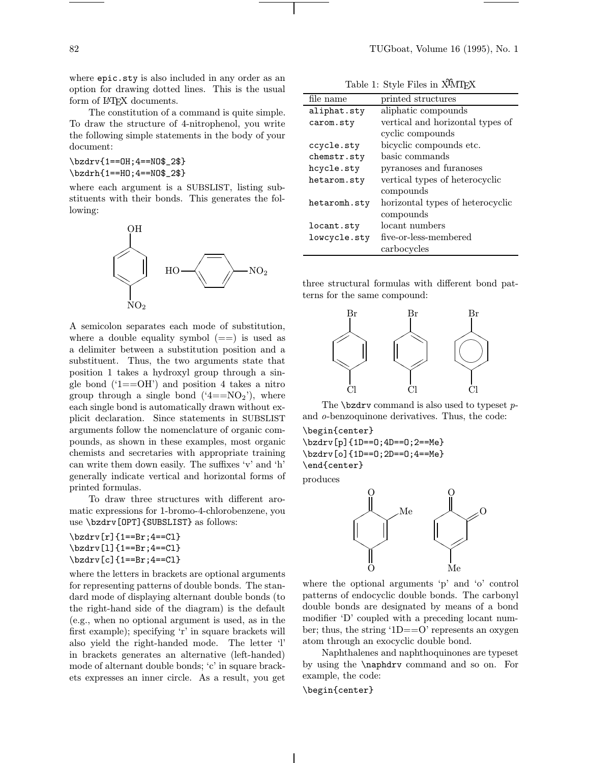where epic.sty is also included in any order as an option for drawing dotted lines. This is the usual form of L<sup>AT</sup><sub>E</sub>X documents.

The constitution of a command is quite simple. To draw the structure of 4-nitrophenol, you write the following simple statements in the body of your document:

\bzdrv{1==OH;4==NO\$\_2\$} \bzdrh{1==HO;4==NO\$\_2\$}

where each argument is a SUBSLIST, listing substituents with their bonds. This generates the following:



A semicolon separates each mode of substitution, where a double equality symbol  $(==)$  is used as a delimiter between a substitution position and a substituent. Thus, the two arguments state that position 1 takes a hydroxyl group through a single bond  $(1 == OH)$  and position 4 takes a nitro group through a single bond  $(4 == NO<sub>2</sub>)$ , where each single bond is automatically drawn without explicit declaration. Since statements in SUBSLIST arguments follow the nomenclature of organic compounds, as shown in these examples, most organic chemists and secretaries with appropriate training can write them down easily. The suffixes 'v' and 'h' generally indicate vertical and horizontal forms of printed formulas.

To draw three structures with different aromatic expressions for 1-bromo-4-chlorobenzene, you use \bzdrv[OPT]{SUBSLIST} as follows:

```
\bzdrv[r]{1==Br;4==Cl}
\bzdrv[l]{1==Br;4==Cl}
\bzdrv[c]{1==Br;4==Cl}
```
where the letters in brackets are optional arguments for representing patterns of double bonds. The standard mode of displaying alternant double bonds (to the right-hand side of the diagram) is the default (e.g., when no optional argument is used, as in the first example); specifying 'r' in square brackets will also yield the right-handed mode. The letter 'l' in brackets generates an alternative (left-handed) mode of alternant double bonds; 'c' in square brackets expresses an inner circle. As a result, you get

| Table 1: Style Files in XIMIFX |  |  |  |  |  |
|--------------------------------|--|--|--|--|--|
|--------------------------------|--|--|--|--|--|

| printed structures               |
|----------------------------------|
| aliphatic compounds              |
| vertical and horizontal types of |
| cyclic compounds                 |
| bicyclic compounds etc.          |
| basic commands                   |
| pyranoses and furanoses          |
| vertical types of heterocyclic   |
| compounds                        |
| horizontal types of heterocyclic |
| compounds                        |
| locant numbers                   |
| five-or-less-membered            |
| carbocycles                      |
|                                  |

three structural formulas with different bond patterns for the same compound:



The  $\text{bzdrv}$  command is also used to typeset pand o-benzoquinone derivatives. Thus, the code:

\begin{center} \bzdrv[p]{1D==O;4D==O;2==Me}

\bzdrv[o]{1D==O;2D==O;4==Me} \end{center}

produces



where the optional arguments 'p' and 'o' control patterns of endocyclic double bonds. The carbonyl double bonds are designated by means of a bond modifier 'D' coupled with a preceding locant number; thus, the string '1D==O' represents an oxygen atom through an exocyclic double bond.

Naphthalenes and naphthoquinones are typeset by using the \naphdrv command and so on. For example, the code:

## \begin{center}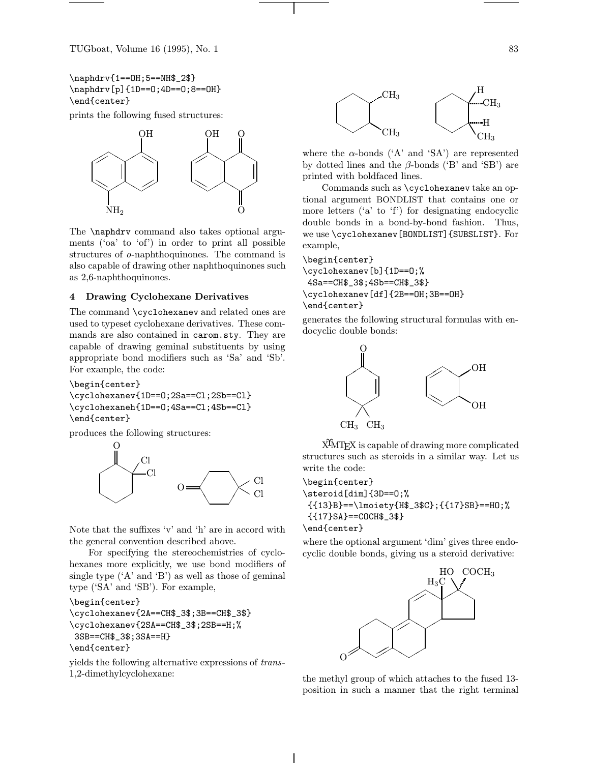\naphdrv{1==OH;5==NH\$\_2\$} \naphdrv[p]{1D==O;4D==O;8==OH} \end{center}

prints the following fused structures:



The \naphdrv command also takes optional arguments ('oa' to 'of') in order to print all possible structures of o-naphthoquinones. The command is also capable of drawing other naphthoquinones such as 2,6-naphthoquinones.

### 4 Drawing Cyclohexane Derivatives

The command \cyclohexanev and related ones are used to typeset cyclohexane derivatives. These commands are also contained in carom.sty. They are capable of drawing geminal substituents by using appropriate bond modifiers such as 'Sa' and 'Sb'. For example, the code:

```
\begin{center}
```
\cyclohexanev{1D==O;2Sa==Cl;2Sb==Cl} \cyclohexaneh{1D==O;4Sa==Cl;4Sb==Cl} \end{center}

produces the following structures:



Note that the suffixes 'v' and 'h' are in accord with the general convention described above.

For specifying the stereochemistries of cyclohexanes more explicitly, we use bond modifiers of single type  $(A'$  and  $(B')$  as well as those of geminal type ('SA' and 'SB'). For example,

```
\begin{center}
\cyclohexanev{2A==CH$_3$;3B==CH$_3$}
```

```
\cyclohexanev{2SA==CH$_3$;2SB==H;%
3SB==CH$_3$;3SA==H}
```

```
\end{center}
```
yields the following alternative expressions of trans-1,2-dimethylcyclohexane:



where the  $\alpha$ -bonds ('A' and 'SA') are represented by dotted lines and the  $\beta$ -bonds ('B' and 'SB') are printed with boldfaced lines.

Commands such as \cyclohexanev take an optional argument BONDLIST that contains one or more letters ('a' to 'f') for designating endocyclic double bonds in a bond-by-bond fashion. Thus, we use \cyclohexanev[BONDLIST]{SUBSLIST}. For example,

```
\begin{center}
\cyclohexanev[b]{1D==O;%
4Sa==CH$_3$;4Sb==CH$_3$}
\cyclohexanev[df]{2B==OH;3B==OH}
\end{center}
```
generates the following structural formulas with endocyclic double bonds:



XΥMTEX is capable of drawing more complicated structures such as steroids in a similar way. Let us write the code:

```
\begin{center}
\steroid[dim]{3D==O;%
 {{13}B}==\lmoiety{H$_3$C};{{17}SB}==HO;%
 {{17}SA}==COCH$_3$}
\end{center}
```
where the optional argument 'dim' gives three endocyclic double bonds, giving us a steroid derivative:



the methyl group of which attaches to the fused 13 position in such a manner that the right terminal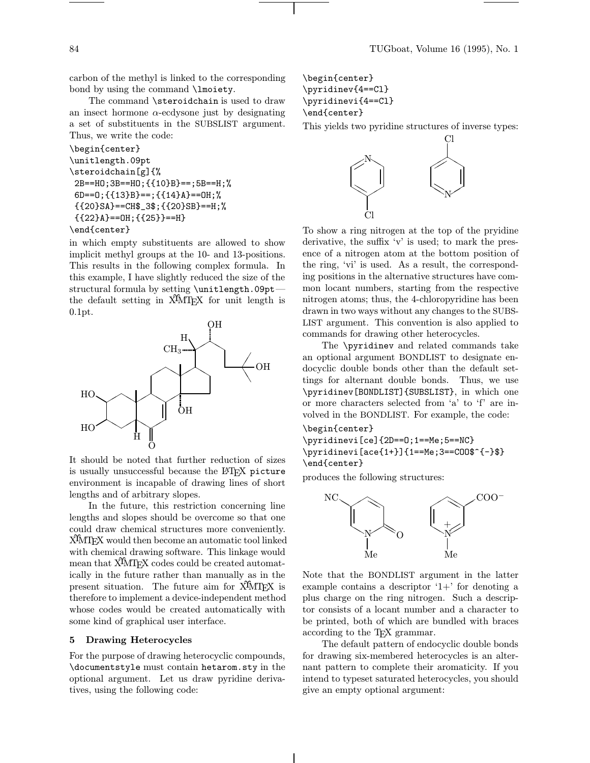carbon of the methyl is linked to the corresponding bond by using the command \lmoiety.

The command \steroidchain is used to draw an insect hormone  $\alpha$ -ecdysone just by designating a set of substituents in the SUBSLIST argument. Thus, we write the code:

```
\begin{center}
\unitlength.09pt
\steroidchain[g]{%
2B==HO;3B==HO;{{10}B}==;5B==H;%
 6D==O;{{13}B}==;{{14}A}==OH;%
 {{20}SA}==CH$_3$;{{20}SB}==H;%
 {{22}A}==OH;{{25}}==H}
\end{center}
```
in which empty substituents are allowed to show implicit methyl groups at the 10- and 13-positions. This results in the following complex formula. In this example, I have slightly reduced the size of the structural formula by setting \unitlength.09pt the default setting in X<sup>T</sup>MT<sub>E</sub>X for unit length is 0.1pt.



It should be noted that further reduction of sizes is usually unsuccessful because the LATEX picture environment is incapable of drawing lines of short lengths and of arbitrary slopes.

In the future, this restriction concerning line lengths and slopes should be overcome so that one could draw chemical structures more conveniently. XΥMTEX would then become an automatic tool linked with chemical drawing software. This linkage would mean that X<sup>I</sup>MT<sub>EX</sub> codes could be created automatically in the future rather than manually as in the present situation. The future aim for X<sup>I</sup>MT<sub>E</sub>X is therefore to implement a device-independent method whose codes would be created automatically with some kind of graphical user interface.

## 5 Drawing Heterocycles

For the purpose of drawing heterocyclic compounds, \documentstyle must contain hetarom.sty in the optional argument. Let us draw pyridine derivatives, using the following code:

```
\begin{center}
\pyridinev{4==Cl}
\pyridinevi{4==Cl}
\end{center}
```
This yields two pyridine structures of inverse types:



To show a ring nitrogen at the top of the pryidine derivative, the suffix 'v' is used; to mark the presence of a nitrogen atom at the bottom position of the ring, 'vi' is used. As a result, the corresponding positions in the alternative structures have common locant numbers, starting from the respective nitrogen atoms; thus, the 4-chloropyridine has been drawn in two ways without any changes to the SUBS-LIST argument. This convention is also applied to commands for drawing other heterocycles.

The \pyridinev and related commands take an optional argument BONDLIST to designate endocyclic double bonds other than the default settings for alternant double bonds. Thus, we use \pyridinev[BONDLIST]{SUBSLIST}, in which one or more characters selected from 'a' to 'f' are involved in the BONDLIST. For example, the code:

## \begin{center}

\pyridinevi[ce]{2D==O;1==Me;5==NC} \pyridinevi[ace{1+}]{1==Me;3==COO\$^{-}\$} \end{center}

produces the following structures:



Note that the BONDLIST argument in the latter example contains a descriptor  $1+$  for denoting a plus charge on the ring nitrogen. Such a descriptor consists of a locant number and a character to be printed, both of which are bundled with braces according to the TEX grammar.

The default pattern of endocyclic double bonds for drawing six-membered heterocycles is an alternant pattern to complete their aromaticity. If you intend to typeset saturated heterocycles, you should give an empty optional argument: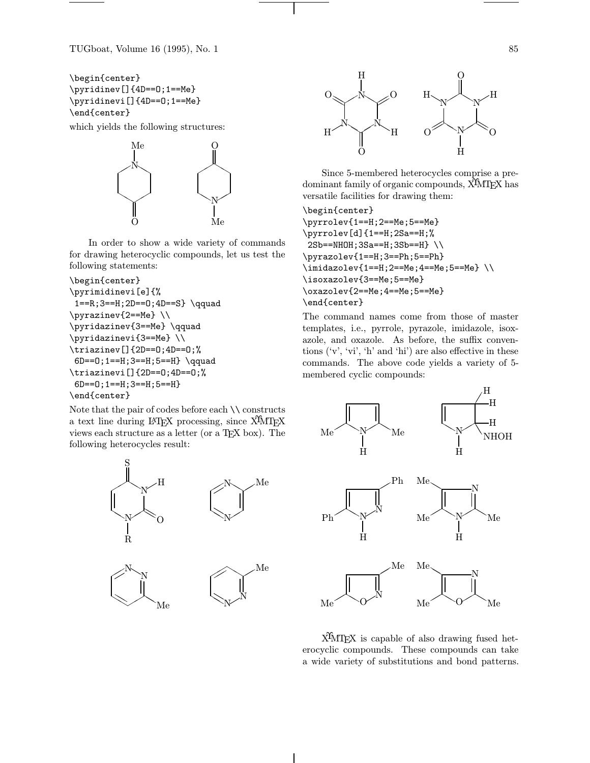TUGboat, Volume 16 (1995), No. 1 85

```
\begin{center}
\pyridinev[]{4D==O;1==Me}
\pyridinevi[]{4D==O;1==Me}
\end{center}
```
which yields the following structures:



In order to show a wide variety of commands for drawing heterocyclic compounds, let us test the following statements:

```
\begin{center}
\pyrimidinevi[e]{%
  1==R;3==H;2D==0;4D==S} \qquad
\begin{array}{c}\n\text{pyr} \quad \text{pyr} \quad \text{pyr} \quad \text{pyr} \quad \text{pyr} \quad \text{pyr} \quad \text{pyr} \quad \text{pyr} \quad \text{pyr} \quad \text{pyr} \quad \text{pyr} \quad \text{pyr} \quad \text{pyr} \quad \text{pyr} \quad \text{pyr} \quad \text{pyr} \quad \text{pyr} \quad \text{pyr} \quad \text{pyr} \quad \text{pyr} \quad \text{pyr} \quad \text{pyr} \quad \text{pyr} \quad \text{pyr} \quad \text{pyr} \quad \text{pyr} \quad \text{p\pyridazinev{3==Me} \qquad
\pyridazinevi{3==Me} \\
\triazinev[]{2D==O;4D==O;%
  6D==0;1==H;3==H;5==H} \qquad
```
\triazinevi[]{2D==O;4D==O;%

```
6D==O;1==H;3==H;5==H}
\end{center}
```
Note that the pair of codes before each  $\backslash\backslash$  constructs a text line during LAT<sub>EX</sub> processing, since X<sup>T</sup>MT<sub>EX</sub> views each structure as a letter (or a T<sub>EX</sub> box). The following heterocycles result:









Since 5-membered heterocycles comprise a predominant family of organic compounds, X<sup>T</sup>MT<sub>F</sub>X has versatile facilities for drawing them:

\begin{center} \pyrrolev{1==H;2==Me;5==Me} \pyrrolev[d]{1==H;2Sa==H;% 2Sb==NHOH;3Sa==H;3Sb==H} \\ \pyrazolev{1==H;3==Ph;5==Ph}  $\infty$ imidazolev{1==H;2==Me;4==Me;5==Me} \\ \isoxazolev{3==Me;5==Me} \oxazolev{2==Me;4==Me;5==Me} \end{center}

The command names come from those of master templates, i.e., pyrrole, pyrazole, imidazole, isoxazole, and oxazole. As before, the suffix conventions ('v', 'vi', 'h' and 'hi') are also effective in these commands. The above code yields a variety of 5 membered cyclic compounds:



X<sup>I</sup>MT<sub>E</sub>X is capable of also drawing fused heterocyclic compounds. These compounds can take a wide variety of substitutions and bond patterns.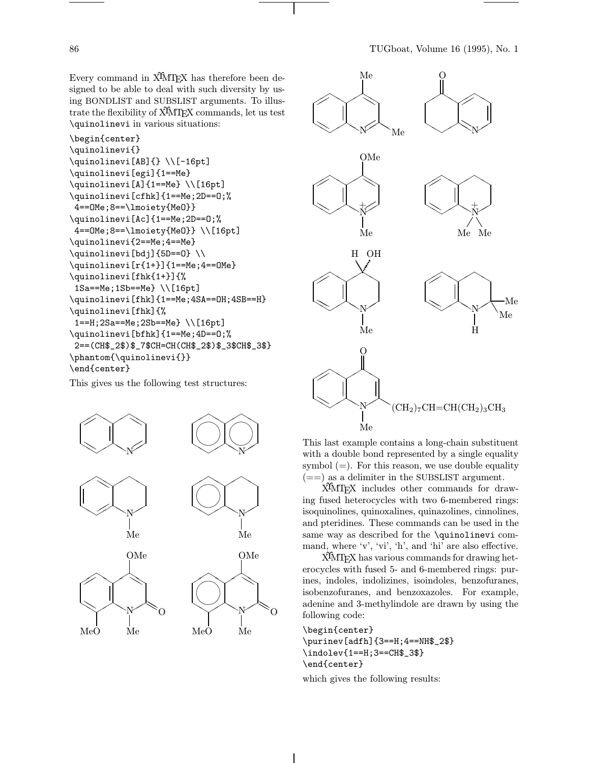Every command in X<sup>I</sup>MT<sub>EX</sub> has therefore been designed to be able to deal with such diversity by using BONDLIST and SUBSLIST arguments. To illustrate the flexibility of X<sup>T</sup>MT<sub>EX</sub> commands, let us test \quinolinevi in various situations:

```
\begin{center}
\quinolinevi{}
\quinolinevi[AB]{} \\[-16pt]
\quinolinevi[egi]{1==Me}
\quinolinevi[A]{1==Me} \\[16pt]
\quinolinevi[cfhk]{1==Me;2D==O;%
 4==OMe;8==\lmoiety{MeO}}
\quinolinevi[Ac]{1==Me;2D==O;%
 4==OMe;8==\lmoiety{MeO}} \\[16pt]
\quinolinevi{2==Me;4==Me}
\quinolinevi[bdj]{5D==O} \\
\quinolinevi[r{1+}]{1==Me;4==OMe}
\quinolinevi[fhk{1+}]{%
 1Sa==Me;1Sb==Me} \\[16pt]
\quinolinevi[fhk]{1==Me;4SA==OH;4SB==H}
\quinolinevi[fhk]{%
 1==H;2Sa==Me;2Sb==Me} \\[16pt]
\quinolinevi[bfhk]{1==Me;4D==O;%
 2==(CH$_2$)$_7$CH=CH(CH$_2$)$_3$CH$_3$}
\phantom{\quinolinevi{}}
\end{center}
```
This gives us the following test structures:





This last example contains a long-chain substituent with a double bond represented by a single equality symbol  $(=)$ . For this reason, we use double equality  $(==)$  as a delimiter in the SUBSLIST argument.

X<sup>I</sup>MT<sub>E</sub>X includes other commands for drawing fused heterocycles with two 6-membered rings: isoquinolines, quinoxalines, quinazolines, cinnolines, and pteridines. These commands can be used in the same way as described for the \quinolinevi command, where 'v', 'vi', 'h', and 'hi' are also effective.

XΥMTEX has various commands for drawing heterocycles with fused 5- and 6-membered rings: purines, indoles, indolizines, isoindoles, benzofuranes, isobenzofuranes, and benzoxazoles. For example, adenine and 3-methylindole are drawn by using the following code:

\begin{center} \purinev[adfh]{3==H;4==NH\$\_2\$} \indolev{1==H;3==CH\$\_3\$} \end{center}

which gives the following results: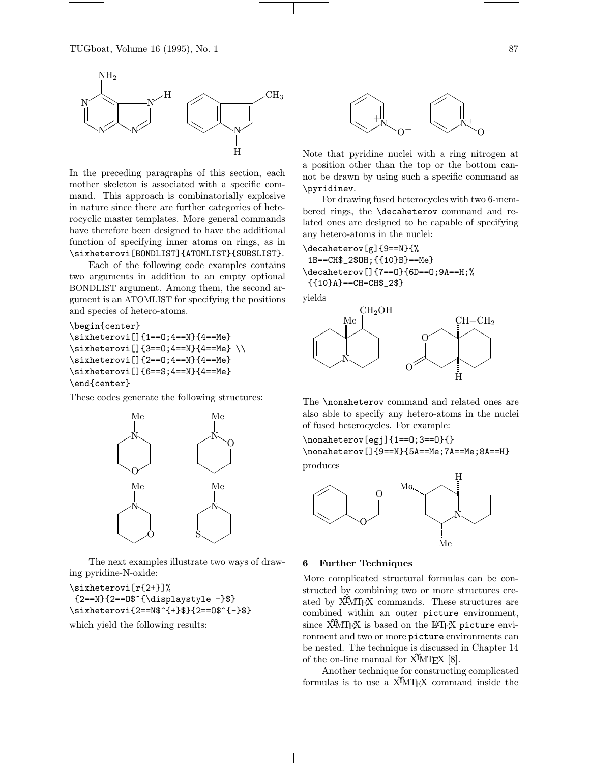

In the preceding paragraphs of this section, each mother skeleton is associated with a specific command. This approach is combinatorially explosive in nature since there are further categories of heterocyclic master templates. More general commands have therefore been designed to have the additional function of specifying inner atoms on rings, as in \sixheterovi[BONDLIST]{ATOMLIST}{SUBSLIST}.

Each of the following code examples contains two arguments in addition to an empty optional BONDLIST argument. Among them, the second argument is an ATOMLIST for specifying the positions and species of hetero-atoms.

```
\begin{center}
\sixheterovi[]{1==O;4==N}{4==Me}
\sixheterovi[]{3==0;4==N}{4==Me} \\
\sixheterovi[]{2==O;4==N}{4==Me}
\sixheterovi[]{6==S;4==N}{4==Me}
\end{center}
```
These codes generate the following structures:



The next examples illustrate two ways of drawing pyridine-N-oxide:

\sixheterovi[r{2+}]%  ${2==N}{2==O$^{\displaystyle\big\{0\}}$ \sixheterovi{2==N\$^{+}\$}{2==O\$^{-}\$}

which yield the following results:



Note that pyridine nuclei with a ring nitrogen at a position other than the top or the bottom cannot be drawn by using such a specific command as \pyridinev.

For drawing fused heterocycles with two 6-membered rings, the \decaheterov command and related ones are designed to be capable of specifying any hetero-atoms in the nuclei:

\decaheterov[g]{9==N}{% 1B==CH\$\_2\$OH;{{10}B}==Me} \decaheterov[]{7==O}{6D==O;9A==H;% {{10}A}==CH=CH\$\_2\$}

yields



The **\nonaheterov** command and related ones are also able to specify any hetero-atoms in the nuclei of fused heterocycles. For example:

\nonaheterov[egj]{1==O;3==O}{} \nonaheterov[]{9==N}{5A==Me;7A==Me;8A==H}

produces



#### 6 Further Techniques

More complicated structural formulas can be constructed by combining two or more structures created by X<sup>I</sup>MT<sub>E</sub>X commands. These structures are combined within an outer picture environment, since  $\widehat{X}^{\widehat{\mu}}$  and  $X^{\widehat{\mu}}$  is based on the LAT<sub>E</sub>X picture environment and two or more picture environments can be nested. The technique is discussed in Chapter 14 of the on-line manual for  $\widehat{X}$ MT<sub>F</sub>X [8].

Another technique for constructing complicated formulas is to use a XΥMTEX command inside the